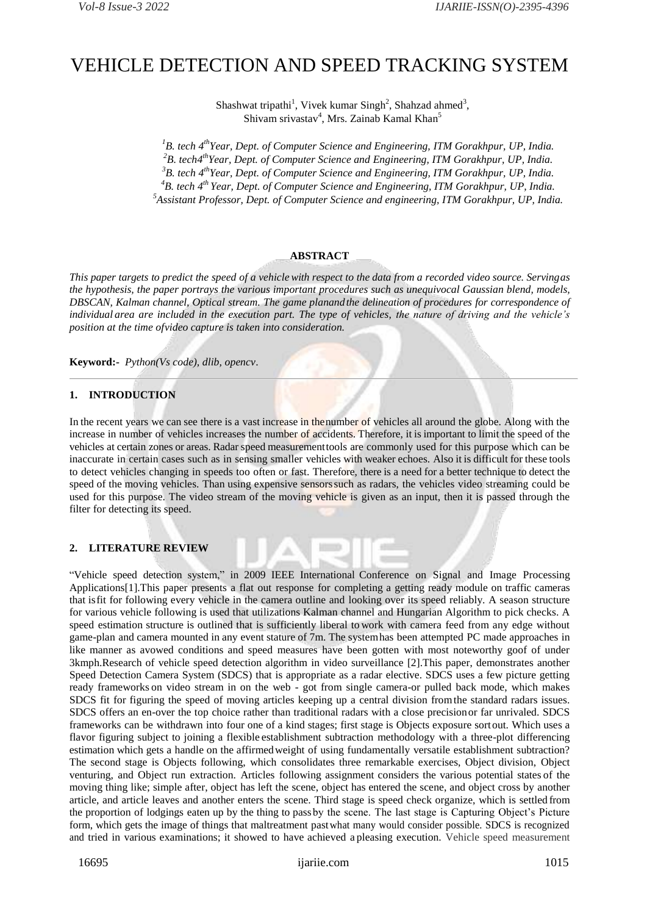# VEHICLE DETECTION AND SPEED TRACKING SYSTEM

Shashwat tripathi<sup>1</sup>, Vivek kumar Singh<sup>2</sup>, Shahzad ahmed<sup>3</sup>, Shivam srivastav<sup>4</sup>, Mrs. Zainab Kamal Khan<sup>5</sup>

*B. tech 4 thYear, Dept. of Computer Science and Engineering, ITM Gorakhpur, UP, India. B. tech4 thYear, Dept. of Computer Science and Engineering, ITM Gorakhpur, UP, India. B. tech 4 thYear, Dept. of Computer Science and Engineering, ITM Gorakhpur, UP, India. B. tech 4 th Year, Dept. of Computer Science and Engineering, ITM Gorakhpur, UP, India. Assistant Professor, Dept. of Computer Science and engineering, ITM Gorakhpur, UP, India.*

### **ABSTRACT**

This paper targets to predict the speed of a vehicle with respect to the data from a recorded video source. Servingas *the hypothesis, the paper portrays the various important procedures such as unequivocal Gaussian blend, models, DBSCAN, Kalman channel, Optical stream. The game planandthe delineation of procedures for correspondence of individual area are included in the execution part. The type of vehicles, the nature of driving and the vehicle's position at the time ofvideo capture is taken into consideration.*

**Keyword:-** *Python(Vs code), dlib, opencv*.

#### **1. INTRODUCTION**

In the recent years we can see there is a vast increase in thenumber of vehicles all around the globe. Along with the increase in number of vehicles increases the number of accidents. Therefore, it is important to limit the speed of the vehicles at certain zones or areas. Radar speed measurementtools are commonly used for this purpose which can be inaccurate in certain cases such as in sensing smaller vehicles with weaker echoes. Also it is difficult for these tools to detect vehicles changing in speeds too often or fast. Therefore, there is a need for a better technique to detect the speed of the moving vehicles. Than using expensive sensorssuch as radars, the vehicles video streaming could be used for this purpose. The video stream of the moving vehicle is given as an input, then it is passed through the filter for detecting its speed.

## **2. LITERATURE REVIEW**

"Vehicle speed detection system," in 2009 IEEE International Conference on Signal and Image Processing Applications[1].This paper presents a flat out response for completing a getting ready module on traffic cameras that isfit for following every vehicle in the camera outline and looking over its speed reliably. A season structure for various vehicle following is used that utilizations Kalman channel and Hungarian Algorithm to pick checks. A speed estimation structure is outlined that is sufficiently liberal to work with camera feed from any edge without game-plan and camera mounted in any event stature of 7m. The systemhas been attempted PC made approaches in like manner as avowed conditions and speed measures have been gotten with most noteworthy goof of under 3kmph.Research of vehicle speed detection algorithm in video surveillance [2].This paper, demonstrates another Speed Detection Camera System (SDCS) that is appropriate as a radar elective. SDCS uses a few picture getting ready frameworks on video stream in on the web - got from single camera-or pulled back mode, which makes SDCS fit for figuring the speed of moving articles keeping up a central division fromthe standard radars issues. SDCS offers an en-over the top choice rather than traditional radars with a close precisionor far unrivaled. SDCS frameworks can be withdrawn into four one of a kind stages; first stage is Objects exposure sortout. Which uses a flavor figuring subject to joining a flexible establishment subtraction methodology with a three-plot differencing estimation which gets a handle on the affirmedweight of using fundamentally versatile establishment subtraction? The second stage is Objects following, which consolidates three remarkable exercises, Object division, Object venturing, and Object run extraction. Articles following assignment considers the various potential states of the moving thing like; simple after, object has left the scene, object has entered the scene, and object cross by another article, and article leaves and another enters the scene. Third stage is speed check organize, which is settled from the proportion of lodgings eaten up by the thing to pass by the scene. The last stage is Capturing Object's Picture form, which gets the image of things that maltreatment pastwhat many would consider possible. SDCS is recognized and tried in various examinations; it showed to have achieved a pleasing execution. Vehicle speed measurement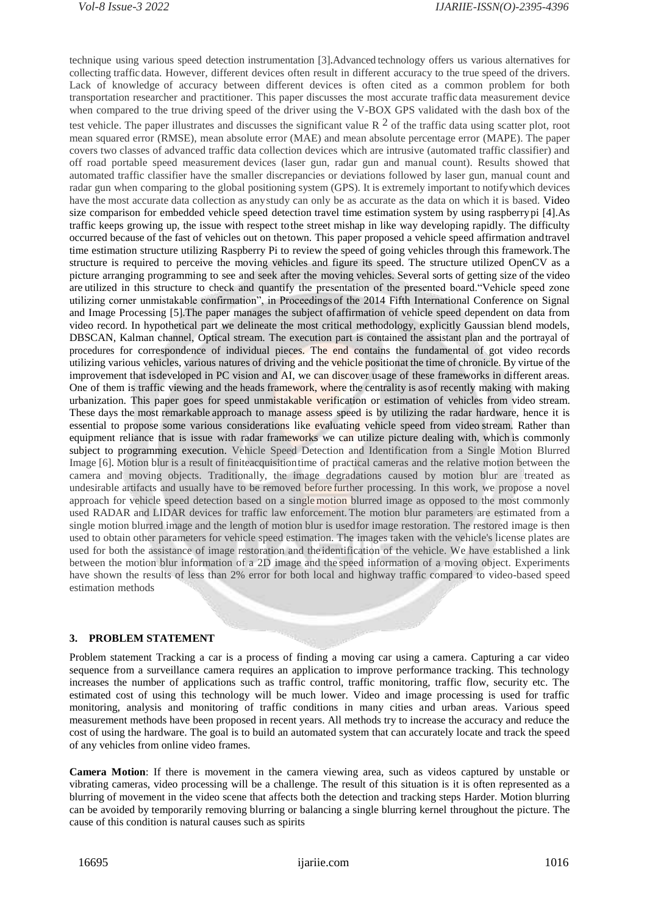technique using various speed detection instrumentation [3].Advanced technology offers us various alternatives for collecting trafficdata. However, different devices often result in different accuracy to the true speed of the drivers. Lack of knowledge of accuracy between different devices is often cited as a common problem for both transportation researcher and practitioner. This paper discusses the most accurate traffic data measurement device when compared to the true driving speed of the driver using the V-BOX GPS validated with the dash box of the test vehicle. The paper illustrates and discusses the significant value R  $^2$  of the traffic data using scatter plot, root mean squared error (RMSE), mean absolute error (MAE) and mean absolute percentage error (MAPE). The paper covers two classes of advanced traffic data collection devices which are intrusive (automated traffic classifier) and off road portable speed measurement devices (laser gun, radar gun and manual count). Results showed that automated traffic classifier have the smaller discrepancies or deviations followed by laser gun, manual count and radar gun when comparing to the global positioning system (GPS). It is extremely important to notifywhich devices have the most accurate data collection as anystudy can only be as accurate as the data on which it is based. Video size comparison for embedded vehicle speed detection travel time estimation system by using raspberrypi [4].As traffic keeps growing up, the issue with respect tothe street mishap in like way developing rapidly. The difficulty occurred because of the fast of vehicles out on thetown. This paper proposed a vehicle speed affirmation andtravel time estimation structure utilizing Raspberry Pi to review the speed of going vehicles through this framework.The structure is required to perceive the moving vehicles and figure its speed. The structure utilized OpenCV as a picture arranging programming to see and seek after the moving vehicles. Several sorts of getting size of the video are utilized in this structure to check and quantify the presentation of the presented board."Vehicle speed zone utilizing corner unmistakable confirmation", in Proceedings of the 2014 Fifth International Conference on Signal and Image Processing [5].The paper manages the subject of affirmation of vehicle speed dependent on data from video record. In hypothetical part we delineate the most critical methodology, explicitly Gaussian blend models, DBSCAN, Kalman channel, Optical stream. The execution part is contained the assistant plan and the portrayal of procedures for correspondence of individual pieces. The end contains the fundamental of got video records utilizing various vehicles, various natures of driving and the vehicle positionat the time of chronicle. By virtue of the improvement that isdeveloped in PC vision and AI, we can discover usage of these frameworks in different areas. One of them is traffic viewing and the heads framework, where the centrality is asof recently making with making urbanization. This paper goes for speed unmistakable verification or estimation of vehicles from video stream. These days the most remarkable approach to manage assess speed is by utilizing the radar hardware, hence it is essential to propose some various considerations like evaluating vehicle speed from video stream. Rather than equipment reliance that is issue with radar frameworks we can utilize picture dealing with, which is commonly subject to programming execution. Vehicle Speed Detection and Identification from a Single Motion Blurred Image [6]. Motion blur is a result of finiteacquisitiontime of practical cameras and the relative motion between the camera and moving objects. Traditionally, the image degradations caused by motion blur are treated as undesirable artifacts and usually have to be removed before further processing. In this work, we propose a novel approach for vehicle speed detection based on a single motion blurred image as opposed to the most commonly used RADAR and LIDAR devices for traffic law enforcement.The motion blur parameters are estimated from a single motion blurred image and the length of motion blur is usedfor image restoration. The restored image is then used to obtain other parameters for vehicle speed estimation. The images taken with the vehicle's license plates are used for both the assistance of image restoration and the identification of the vehicle. We have established a link between the motion blur information of a 2D image and the speed information of a moving object. Experiments have shown the results of less than 2% error for both local and highway traffic compared to video-based speed estimation methods

## **3. PROBLEM STATEMENT**

Problem statement Tracking a car is a process of finding a moving car using a camera. Capturing a car video sequence from a surveillance camera requires an application to improve performance tracking. This technology increases the number of applications such as traffic control, traffic monitoring, traffic flow, security etc. The estimated cost of using this technology will be much lower. Video and image processing is used for traffic monitoring, analysis and monitoring of traffic conditions in many cities and urban areas. Various speed measurement methods have been proposed in recent years. All methods try to increase the accuracy and reduce the cost of using the hardware. The goal is to build an automated system that can accurately locate and track the speed of any vehicles from online video frames.

**Camera Motion**: If there is movement in the camera viewing area, such as videos captured by unstable or vibrating cameras, video processing will be a challenge. The result of this situation is it is often represented as a blurring of movement in the video scene that affects both the detection and tracking steps Harder. Motion blurring can be avoided by temporarily removing blurring or balancing a single blurring kernel throughout the picture. The cause of this condition is natural causes such as spirits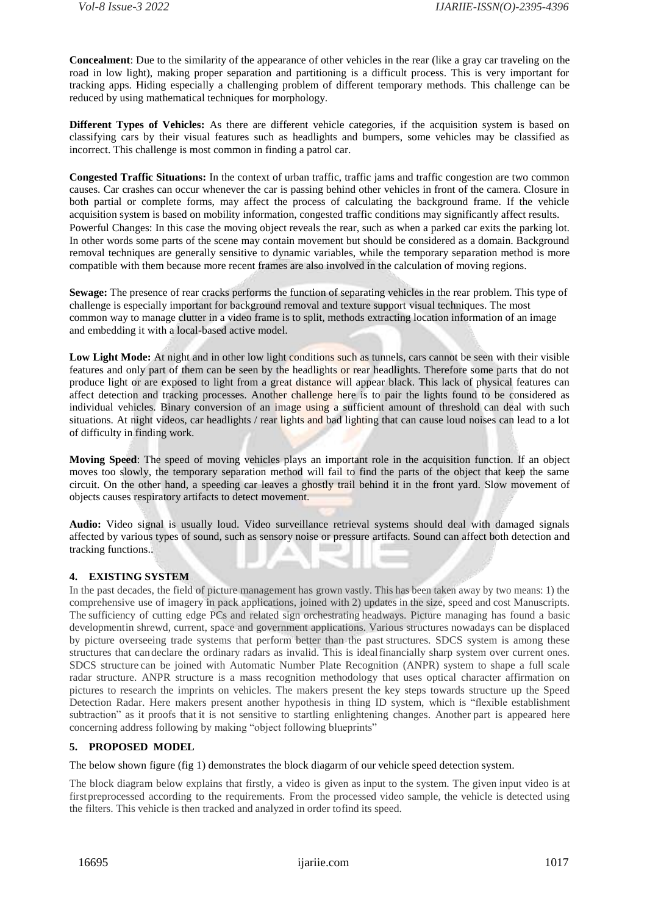**Concealment**: Due to the similarity of the appearance of other vehicles in the rear (like a gray car traveling on the road in low light), making proper separation and partitioning is a difficult process. This is very important for tracking apps. Hiding especially a challenging problem of different temporary methods. This challenge can be reduced by using mathematical techniques for morphology.

**Different Types of Vehicles:** As there are different vehicle categories, if the acquisition system is based on classifying cars by their visual features such as headlights and bumpers, some vehicles may be classified as incorrect. This challenge is most common in finding a patrol car.

**Congested Traffic Situations:** In the context of urban traffic, traffic jams and traffic congestion are two common causes. Car crashes can occur whenever the car is passing behind other vehicles in front of the camera. Closure in both partial or complete forms, may affect the process of calculating the background frame. If the vehicle acquisition system is based on mobility information, congested traffic conditions may significantly affect results. Powerful Changes: In this case the moving object reveals the rear, such as when a parked car exits the parking lot. In other words some parts of the scene may contain movement but should be considered as a domain. Background removal techniques are generally sensitive to dynamic variables, while the temporary separation method is more compatible with them because more recent frames are also involved in the calculation of moving regions.

**Sewage:** The presence of rear cracks performs the function of separating vehicles in the rear problem. This type of challenge is especially important for background removal and texture support visual techniques. The most common way to manage clutter in a video frame is to split, methods extracting location information of an image and embedding it with a local-based active model.

**Low Light Mode:** At night and in other low light conditions such as tunnels, cars cannot be seen with their visible features and only part of them can be seen by the headlights or rear headlights. Therefore some parts that do not produce light or are exposed to light from a great distance will appear black. This lack of physical features can affect detection and tracking processes. Another challenge here is to pair the lights found to be considered as individual vehicles. Binary conversion of an image using a sufficient amount of threshold can deal with such situations. At night videos, car headlights / rear lights and bad lighting that can cause loud noises can lead to a lot of difficulty in finding work.

**Moving Speed**: The speed of moving vehicles plays an important role in the acquisition function. If an object moves too slowly, the temporary separation method will fail to find the parts of the object that keep the same circuit. On the other hand, a speeding car leaves a ghostly trail behind it in the front yard. Slow movement of objects causes respiratory artifacts to detect movement.

**Audio:** Video signal is usually loud. Video surveillance retrieval systems should deal with damaged signals affected by various types of sound, such as sensory noise or pressure artifacts. Sound can affect both detection and tracking functions..

## **4. EXISTING SYSTEM**

In the past decades, the field of picture management has grown vastly. This has been taken away by two means: 1) the comprehensive use of imagery in pack applications, joined with 2) updates in the size, speed and cost Manuscripts. The sufficiency of cutting edge PCs and related sign orchestrating headways. Picture managing has found a basic developmentin shrewd, current, space and government applications. Various structures nowadays can be displaced by picture overseeing trade systems that perform better than the past structures. SDCS system is among these structures that candeclare the ordinary radars as invalid. This is idealfinancially sharp system over current ones. SDCS structure can be joined with Automatic Number Plate Recognition (ANPR) system to shape a full scale radar structure. ANPR structure is a mass recognition methodology that uses optical character affirmation on pictures to research the imprints on vehicles. The makers present the key steps towards structure up the Speed Detection Radar. Here makers present another hypothesis in thing ID system, which is "flexible establishment subtraction" as it proofs that it is not sensitive to startling enlightening changes. Another part is appeared here concerning address following by making "object following blueprints"

## **5. PROPOSED MODEL**

The below shown figure (fig 1) demonstrates the block diagarm of our vehicle speed detection system.

The block diagram below explains that firstly, a video is given as input to the system. The given input video is at firstpreprocessed according to the requirements. From the processed video sample, the vehicle is detected using the filters. This vehicle is then tracked and analyzed in order tofind its speed.